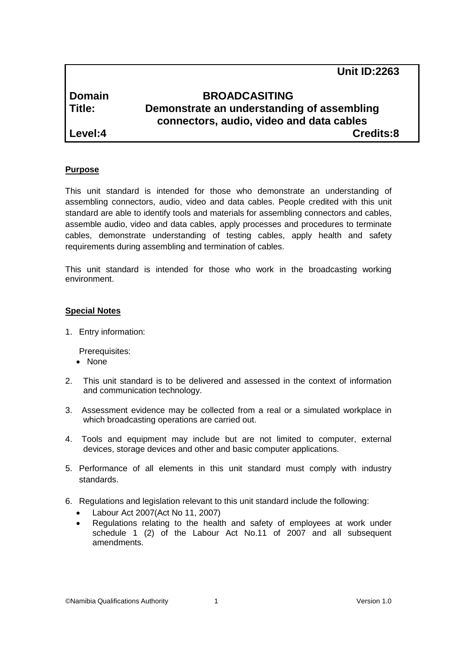|               | <b>Unit ID:2263</b>                                                                    |  |
|---------------|----------------------------------------------------------------------------------------|--|
| <b>Domain</b> | <b>BROADCASITING</b>                                                                   |  |
| Title:        | Demonstrate an understanding of assembling<br>connectors, audio, video and data cables |  |
| Level:4       | Credits:8                                                                              |  |

## **Purpose**

This unit standard is intended for those who demonstrate an understanding of assembling connectors, audio, video and data cables. People credited with this unit standard are able to identify tools and materials for assembling connectors and cables, assemble audio, video and data cables, apply processes and procedures to terminate cables, demonstrate understanding of testing cables, apply health and safety requirements during assembling and termination of cables.

This unit standard is intended for those who work in the broadcasting working environment.

## **Special Notes**

1. Entry information:

Prerequisites:

- None
- 2. This unit standard is to be delivered and assessed in the context of information and communication technology.
- 3. Assessment evidence may be collected from a real or a simulated workplace in which broadcasting operations are carried out.
- 4. Tools and equipment may include but are not limited to computer, external devices, storage devices and other and basic computer applications.
- 5. Performance of all elements in this unit standard must comply with industry standards.
- 6. Regulations and legislation relevant to this unit standard include the following:
	- Labour Act 2007(Act No 11, 2007)
	- Regulations relating to the health and safety of employees at work under schedule 1 (2) of the Labour Act No.11 of 2007 and all subsequent amendments.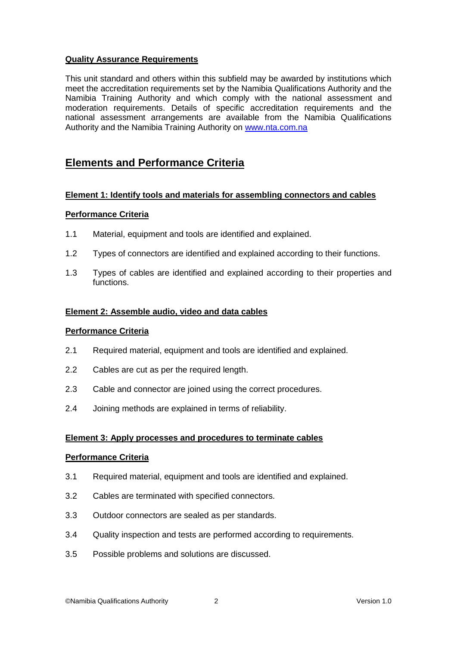# **Quality Assurance Requirements**

This unit standard and others within this subfield may be awarded by institutions which meet the accreditation requirements set by the Namibia Qualifications Authority and the Namibia Training Authority and which comply with the national assessment and moderation requirements. Details of specific accreditation requirements and the national assessment arrangements are available from the Namibia Qualifications Authority and the Namibia Training Authority on [www.nta.com.na](http://www.nta.com.na/)

# **Elements and Performance Criteria**

# **Element 1: Identify tools and materials for assembling connectors and cables**

## **Performance Criteria**

- 1.1 Material, equipment and tools are identified and explained.
- 1.2 Types of connectors are identified and explained according to their functions.
- 1.3 Types of cables are identified and explained according to their properties and functions.

## **Element 2: Assemble audio, video and data cables**

#### **Performance Criteria**

- 2.1 Required material, equipment and tools are identified and explained.
- 2.2 Cables are cut as per the required length.
- 2.3 Cable and connector are joined using the correct procedures.
- 2.4 Joining methods are explained in terms of reliability.

#### **Element 3: Apply processes and procedures to terminate cables**

#### **Performance Criteria**

- 3.1 Required material, equipment and tools are identified and explained.
- 3.2 Cables are terminated with specified connectors.
- 3.3 Outdoor connectors are sealed as per standards.
- 3.4 Quality inspection and tests are performed according to requirements.
- 3.5 Possible problems and solutions are discussed.